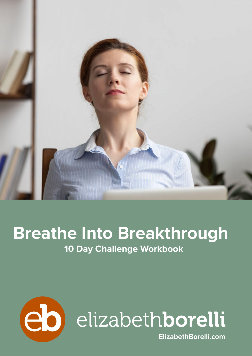

### **Breathe Into Breakthrough 10 Day Challenge Workbook**

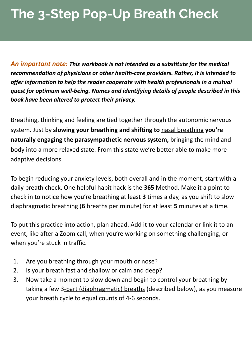### **The 3-Step Pop-Up Breath Check**

*An important note: This workbook is not intended as a substitute for the medical recommendation of physicians or other health-care providers. Rather, it is intended to offer information to help the reader cooperate with health professionals in a mutual quest for optimum well-being. Names and identifying details of people described in this book have been altered to protect their privacy.*

Breathing, thinking and feeling are tied together through the autonomic nervous system. Just by **slowing your breathing and shifting to** [nasal breathing](https://www.healthline.com/health/nose-breathing) **you're naturally engaging the parasympathetic nervous system,** bringing the mind and body into a more relaxed state. From this state we're better able to make more adaptive decisions.

To begin reducing your anxiety levels, both overall and in the moment, start with a daily breath check. One helpful habit hack is the **365** Method. Make it a point to check in to notice how you're breathing at least **3** times a day, as you shift to slow diaphragmatic breathing (**6** breaths per minute) for at least **5** minutes at a time.

To put this practice into action, plan ahead. Add it to your calendar or link it to an event, like after a Zoom call, when you're working on something challenging, or when you're stuck in traffic.

- 1. Are you breathing through your mouth or nose?
- 2. Is your breath fast and shallow or calm and deep?
- 3. Now take a moment to slow down and begin to control your breathing by taking a few [3-part \(diaphragmatic\) breaths](https://www.elizabethborelli.com/the-2-part-breath/) (described below), as you measure your breath cycle to equal counts of 4-6 seconds.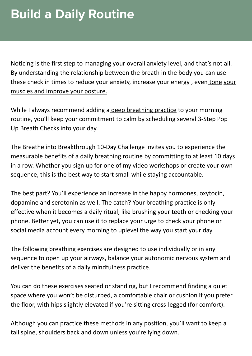Noticing is the first step to managing your overall anxiety level, and that's not all. By understanding the relationship between the breath in the body you can use these check in times to reduce your anxiety, increase your energy, even [tone](https://www.healthline.com/health/breathe-deeper-improve-health-and-posture) your [muscles and improve your posture.](https://www.healthline.com/health/breathe-deeper-improve-health-and-posture)

While I always recommend adding a [deep breathing practice](https://www.elizabethborelli.com/category/breathing-practices/) to your morning routine, you'll keep your commitment to calm by scheduling several 3-Step Pop Up Breath Checks into your day.

The Breathe into Breakthrough 10-Day Challenge invites you to experience the measurable benefits of a daily breathing routine by committing to at least 10 days in a row. Whether you sign up for one of my video workshops or create your own sequence, this is the best way to start small while staying accountable.

The best part? You'll experience an increase in the happy hormones, oxytocin, dopamine and serotonin as well. The catch? Your breathing practice is only effective when it becomes a daily ritual, like brushing your teeth or checking your phone. Better yet, you can use it to replace your urge to check your phone or social media account every morning to uplevel the way you start your day.

The following breathing exercises are designed to use individually or in any sequence to open up your airways, balance your autonomic nervous system and deliver the benefits of a daily mindfulness practice.

You can do these exercises seated or standing, but I recommend finding a quiet space where you won't be disturbed, a comfortable chair or cushion if you prefer the floor, with hips slightly elevated if you're sitting cross-legged (for comfort).

Although you can practice these methods in any position, you'll want to keep a tall spine, shoulders back and down unless you're lying down.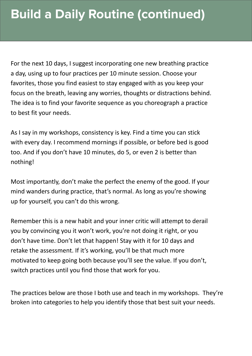For the next 10 days, I suggest incorporating one new breathing practice a day, using up to four practices per 10 minute session. Choose your favorites, those you find easiest to stay engaged with as you keep your focus on the breath, leaving any worries, thoughts or distractions behind. The idea is to find your favorite sequence as you choreograph a practice to best fit your needs.

As I say in my workshops, consistency is key. Find a time you can stick with every day. I recommend mornings if possible, or before bed is good too. And if you don't have 10 minutes, do 5, or even 2 is better than nothing!

Most importantly, don't make the perfect the enemy of the good. If your mind wanders during practice, that's normal. As long as you're showing up for yourself, you can't do this wrong.

Remember this is a new habit and your inner critic will attempt to derail you by convincing you it won't work, you're not doing it right, or you don't have time. Don't let that happen! Stay with it for 10 days and retake the assessment. If it's working, you'll be that much more motivated to keep going both because you'll see the value. If you don't, switch practices until you find those that work for you.

The practices below are those I both use and teach in my workshops. They're broken into categories to help you identify those that best suit your needs.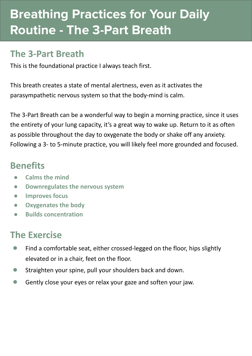### **Breathing Practices for Your Daily Routine - The 3-Part Breath**

#### **The 3-Part Breath**

This is the foundational practice I always teach first.

This breath creates a state of mental alertness, even as it activates the parasympathetic nervous system so that the body-mind is calm.

The 3-Part Breath can be a wonderful way to begin a morning practice, since it uses the entirety of your lung capacity, it's a great way to wake up. Return to it as often as possible throughout the day to oxygenate the body or shake off any anxiety. Following a 3- to 5-minute practice, you will likely feel more grounded and focused.

#### **Benefits**

- **● Calms the mind**
- **● Downregulates the nervous system**
- **● Improves focus**
- **● Oxygenates the body**
- **● Builds concentration**

- **●** Find a comfortable seat, either crossed-legged on the floor, hips slightly elevated or in a chair, feet on the floor.
- **●** Straighten your spine, pull your shoulders back and down.
- **●** Gently close your eyes or relax your gaze and soften your jaw.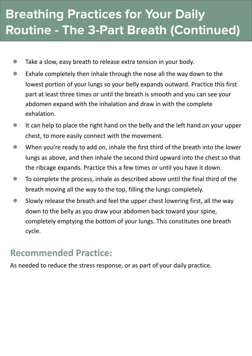### **Breathing Practices for Your Daily Routine - The 3-Part Breath (Continued)**

- **●** Take a slow, easy breath to release extra tension in your body.
- **●** Exhale completely then inhale through the nose all the way down to the lowest portion of your lungs so your belly expands outward. Practice this first part at least three times or until the breath is smooth and you can see your abdomen expand with the inhalation and draw in with the complete exhalation.
- **●** It can help to place the right hand on the belly and the left hand on your upper chest, to more easily connect with the movement.
- **●** When you're ready to add on, inhale the first third of the breath into the lower lungs as above, and then inhale the second third upward into the chest so that the ribcage expands. Practice this a few times or until you have it down.
- **●** To complete the process, inhale as described above until the final third of the breath moving all the way to the top, filling the lungs completely.
- **●** Slowly release the breath and feel the upper chest lowering first, all the way down to the belly as you draw your abdomen back toward your spine, completely emptying the bottom of your lungs. This constitutes one breath cycle.

#### **Recommended Practice:**

As needed to reduce the stress response, or as part of your daily practice.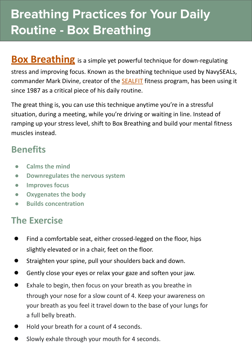### **Breathing Practices for Your Daily Routine - Box Breathing**

**[Box Breathing](https://www.medicalnewstoday.com/articles/321805)** is a simple yet powerful technique for down-regulating stress and improving focus. Known as the breathing technique used by NavySEALs, commander Mark Divine, creator of the [SEALFIT](https://sealfit.com/) fitness program, has been using it since 1987 as a critical piece of his daily routine.

The great thing is, you can use this technique anytime you're in a stressful situation, during a meeting, while you're driving or waiting in line. Instead of ramping up your stress level, shift to Box Breathing and build your mental fitness muscles instead.

#### **Benefits**

- **● Calms the mind**
- **● Downregulates the nervous system**
- **● Improves focus**
- **● Oxygenates the body**
- **● Builds concentration**

- Find a comfortable seat, either crossed-legged on the floor, hips slightly elevated or in a chair, feet on the floor.
- **●** Straighten your spine, pull your shoulders back and down.
- Gently close your eyes or relax your gaze and soften your jaw.
- **●** Exhale to begin, then focus on your breath as you breathe in through your nose for a slow count of 4. Keep your awareness on your breath as you feel it travel down to the base of your lungs for a full belly breath.
- **●** Hold your breath for a count of 4 seconds.
- Slowly exhale through your mouth for 4 seconds.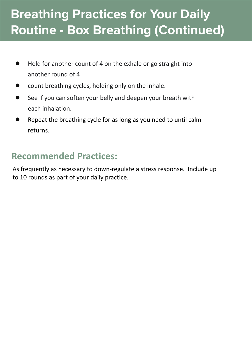### **Breathing Practices for Your Daily Routine - Box Breathing (Continued)**

- **●** Hold for another count of 4 on the exhale or go straight into another round of 4
- **●** count breathing cycles, holding only on the inhale.
- **●** See if you can soften your belly and deepen your breath with each inhalation.
- Repeat the breathing cycle for as long as you need to until calm returns.

### **Recommended Practices:**

As frequently as necessary to down-regulate a stress response. Include up to 10 rounds as part of your daily practice.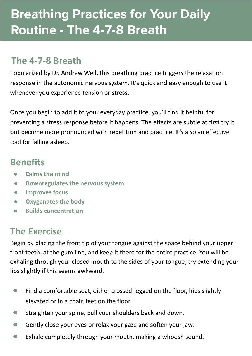### **Breathing Practices for Your Daily Routine - The 4-7-8 Breath**

### **The 4-7-8 Breath**

Popularized by Dr. Andrew Weil, this breathing practice triggers the relaxation response in the autonomic nervous system. It's quick and easy enough to use it whenever you experience tension or stress.

Once you begin to add it to your everyday practice, you'll find it helpful for preventing a stress response before it happens. The effects are subtle at first try it but become more pronounced with repetition and practice. It's also an effective tool for falling asleep.

#### **Benefits**

- **● Calms the mind**
- **● Downregulates the nervous system**
- **● Improves focus**
- **● Oxygenates the body**
- **● Builds concentration**

### **The Exercise**

Begin by placing the front tip of your tongue against the space behind your upper front teeth, at the gum line, and keep it there for the entire practice. You will be exhaling through your closed mouth to the sides of your tongue; try extending your lips slightly if this seems awkward.

- **●** Find a comfortable seat, either crossed-legged on the floor, hips slightly elevated or in a chair, feet on the floor.
- **●** Straighten your spine, pull your shoulders back and down.
- **●** Gently close your eyes or relax your gaze and soften your jaw.
- **●** Exhale completely through your mouth, making a whoosh sound.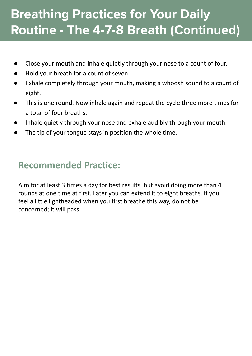### **Breathing Practices for Your Daily Routine - The 4-7-8 Breath (Continued)**

- Close your mouth and inhale quietly through your nose to a count of four.
- Hold your breath for a count of seven.
- Exhale completely through your mouth, making a whoosh sound to a count of eight.
- This is one round. Now inhale again and repeat the cycle three more times for a total of four breaths.
- Inhale quietly through your nose and exhale audibly through your mouth.
- The tip of your tongue stays in position the whole time.

### **Recommended Practice:**

Aim for at least 3 times a day for best results, but avoid doing more than 4 rounds at one time at first. Later you can extend it to eight breaths. If you feel a little lightheaded when you first breathe this way, do not be concerned; it will pass.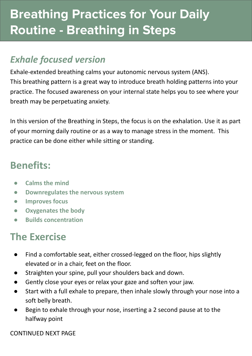### **Breathing Practices for Your Daily Routine - Breathing in Steps**

### *Exhale focused version*

Exhale-extended breathing calms your autonomic nervous system (ANS). This breathing pattern is a great way to introduce breath holding patterns into your practice. The focused awareness on your internal state helps you to see where your breath may be perpetuating anxiety.

In this version of the Breathing in Steps, the focus is on the exhalation. Use it as part of your morning daily routine or as a way to manage stress in the moment. This practice can be done either while sitting or standing.

### **Benefits:**

- **● Calms the mind**
- **● Downregulates the nervous system**
- **● Improves focus**
- **● Oxygenates the body**
- **● Builds concentration**

### **The Exercise**

- Find a comfortable seat, either crossed-legged on the floor, hips slightly elevated or in a chair, feet on the floor.
- Straighten your spine, pull your shoulders back and down.
- Gently close your eyes or relax your gaze and soften your jaw.
- Start with a full exhale to prepare, then inhale slowly through your nose into a soft belly breath.
- Begin to exhale through your nose, inserting a 2 second pause at to the halfway point

CONTINUED NEXT PAGE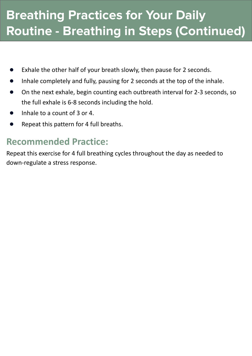### **Breathing Practices for Your Daily Routine - Breathing in Steps (Continued)**

- Exhale the other half of your breath slowly, then pause for 2 seconds.
- Inhale completely and fully, pausing for 2 seconds at the top of the inhale.
- On the next exhale, begin counting each outbreath interval for 2-3 seconds, so the full exhale is 6-8 seconds including the hold.
- Inhale to a count of 3 or 4.
- Repeat this pattern for 4 full breaths.

#### **Recommended Practice:**

Repeat this exercise for 4 full breathing cycles throughout the day as needed to down-regulate a stress response.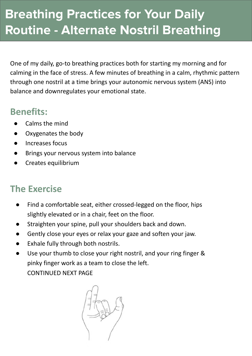### **Breathing Practices for Your Daily Routine - Alternate Nostril Breathing**

One of my daily, go-to breathing practices both for starting my morning and for calming in the face of stress. A few minutes of breathing in a calm, rhythmic pattern through one nostril at a time brings your autonomic nervous system (ANS) into balance and downregulates your emotional state.

### **Benefits:**

- Calms the mind
- Oxygenates the body
- Increases focus
- Brings your nervous system into balance
- Creates equilibrium

- Find a comfortable seat, either crossed-legged on the floor, hips slightly elevated or in a chair, feet on the floor.
- Straighten your spine, pull your shoulders back and down.
- Gently close your eyes or relax your gaze and soften your jaw.
- Exhale fully through both nostrils.
- Use your thumb to close your right nostril, and your ring finger & pinky finger work as a team to close the left. CONTINUED NEXT PAGE

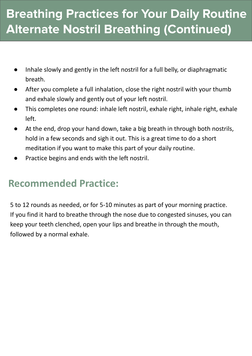### **Breathing Practices for Your Daily Routine Alternate Nostril Breathing (Continued)**

- Inhale slowly and gently in the left nostril for a full belly, or diaphragmatic breath.
- After you complete a full inhalation, close the right nostril with your thumb and exhale slowly and gently out of your left nostril.
- This completes one round: inhale left nostril, exhale right, inhale right, exhale left.
- At the end, drop your hand down, take a big breath in through both nostrils, hold in a few seconds and sigh it out. This is a great time to do a short meditation if you want to make this part of your daily routine.
- Practice begins and ends with the left nostril.

### **Recommended Practice:**

5 to 12 rounds as needed, or for 5-10 minutes as part of your morning practice. If you find it hard to breathe through the nose due to congested sinuses, you can keep your teeth clenched, open your lips and breathe in through the mouth, followed by a normal exhale.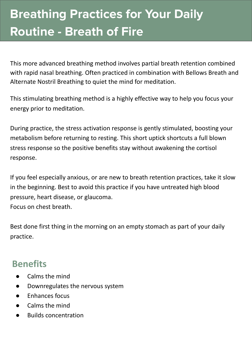# **Breathing Practices for Your Daily Routine - Breath of Fire**

This more advanced breathing method involves partial breath retention combined with rapid nasal breathing. Often practiced in combination with Bellows Breath and Alternate Nostril Breathing to quiet the mind for meditation.

This stimulating breathing method is a highly effective way to help you focus your energy prior to meditation.

During practice, the stress activation response is gently stimulated, boosting your metabolism before returning to resting. This short uptick shortcuts a full blown stress response so the positive benefits stay without awakening the cortisol response.

If you feel especially anxious, or are new to breath retention practices, take it slow in the beginning. Best to avoid this practice if you have untreated high blood pressure, heart disease, or glaucoma. Focus on chest breath.

Best done first thing in the morning on an empty stomach as part of your daily practice.

#### **Benefits**

- Calms the mind
- Downregulates the nervous system
- Enhances focus
- Calms the mind
- **Builds concentration**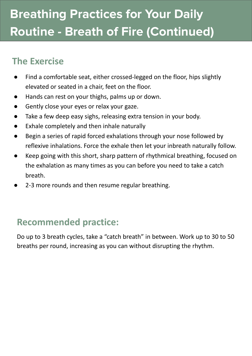# **Breathing Practices for Your Daily Routine - Breath of Fire (Continued)**

### **The Exercise**

- Find a comfortable seat, either crossed-legged on the floor, hips slightly elevated or seated in a chair, feet on the floor.
- Hands can rest on your thighs, palms up or down.
- Gently close your eyes or relax your gaze.
- Take a few deep easy sighs, releasing extra tension in your body.
- Exhale completely and then inhale naturally
- Begin a series of rapid forced exhalations through your nose followed by reflexive inhalations. Force the exhale then let your inbreath naturally follow.
- Keep going with this short, sharp pattern of rhythmical breathing, focused on the exhalation as many times as you can before you need to take a catch breath.
- 2-3 more rounds and then resume regular breathing.

### **Recommended practice:**

Do up to 3 breath cycles, take a "catch breath" in between. Work up to 30 to 50 breaths per round, increasing as you can without disrupting the rhythm.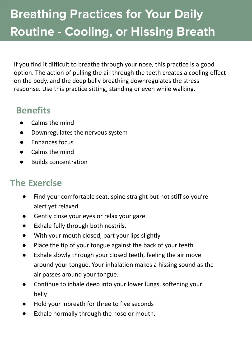# **Breathing Practices for Your Daily Routine - Cooling, or Hissing Breath**

If you find it difficult to breathe through your nose, this practice is a good option. The action of pulling the air through the teeth creates a cooling effect on the body, and the deep belly breathing downregulates the stress response. Use this practice sitting, standing or even while walking.

### **Benefits**

- **Calms the mind**
- Downregulates the nervous system
- Enhances focus
- Calms the mind
- **Builds concentration**

- Find your comfortable seat, spine straight but not stiff so you're alert yet relaxed.
- Gently close your eyes or relax your gaze.
- Exhale fully through both nostrils.
- With your mouth closed, part your lips slightly
- Place the tip of your tongue against the back of your teeth
- Exhale slowly through your closed teeth, feeling the air move around your tongue. Your inhalation makes a hissing sound as the air passes around your tongue.
- Continue to inhale deep into your lower lungs, softening your belly
- Hold your inbreath for three to five seconds
- Exhale normally through the nose or mouth.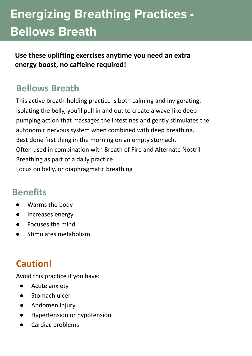# **Energizing Breathing Practices - Bellows Breath**

**Use these uplifting exercises anytime you need an extra energy boost, no caffeine required!**

#### **Bellows Breath**

This active breath-holding practice is both calming and invigorating. Isolating the belly, you'll pull in and out to create a wave-like deep pumping action that massages the intestines and gently stimulates the autonomic nervous system when combined with deep breathing. Best done first thing in the morning on an empty stomach. Often used in combination with Breath of Fire and Alternate Nostril Breathing as part of a daily practice.

Focus on belly, or diaphragmatic breathing

#### **Benefits**

- Warms the body
- Increases energy
- Focuses the mind
- Stimulates metabolism

#### **Caution!**

Avoid this practice if you have:

- Acute anxiety
- Stomach ulcer
- Abdomen injury
- Hypertension or hypotension
- Cardiac problems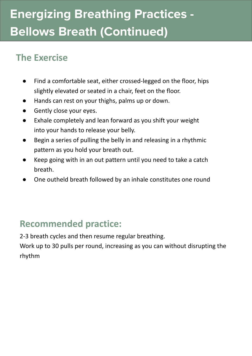# **Energizing Breathing Practices - Bellows Breath (Continued)**

#### **The Exercise**

- Find a comfortable seat, either crossed-legged on the floor, hips slightly elevated or seated in a chair, feet on the floor.
- Hands can rest on your thighs, palms up or down.
- **•** Gently close your eyes.
- Exhale completely and lean forward as you shift your weight into your hands to release your belly.
- Begin a series of pulling the belly in and releasing in a rhythmic pattern as you hold your breath out.
- Keep going with in an out pattern until you need to take a catch breath.
- One outheld breath followed by an inhale constitutes one round

### **Recommended practice:**

2-3 breath cycles and then resume regular breathing.

Work up to 30 pulls per round, increasing as you can without disrupting the rhythm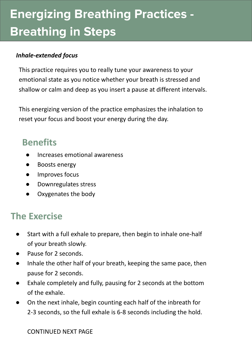# **Energizing Breathing Practices - Breathing in Steps**

#### *Inhale-extended focus*

This practice requires you to really tune your awareness to your emotional state as you notice whether your breath is stressed and shallow or calm and deep as you insert a pause at different intervals.

This energizing version of the practice emphasizes the inhalation to reset your focus and boost your energy during the day.

#### **Benefits**

- Increases emotional awareness
- Boosts energy
- Improves focus
- Downregulates stress
- Oxygenates the body

#### **The Exercise**

- Start with a full exhale to prepare, then begin to inhale one-half of your breath slowly.
- Pause for 2 seconds.
- Inhale the other half of your breath, keeping the same pace, then pause for 2 seconds.
- Exhale completely and fully, pausing for 2 seconds at the bottom of the exhale.
- On the next inhale, begin counting each half of the inbreath for 2-3 seconds, so the full exhale is 6-8 seconds including the hold.

CONTINUED NEXT PAGE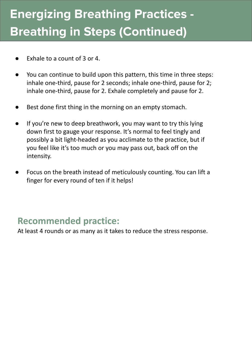# **Energizing Breathing Practices - Breathing in Steps (Continued)**

- Exhale to a count of  $3$  or  $4$ .
- You can continue to build upon this pattern, this time in three steps: inhale one-third, pause for 2 seconds; inhale one-third, pause for 2; inhale one-third, pause for 2. Exhale completely and pause for 2.
- Best done first thing in the morning on an empty stomach.
- If you're new to deep breathwork, you may want to try this lying down first to gauge your response. It's normal to feel tingly and possibly a bit light-headed as you acclimate to the practice, but if you feel like it's too much or you may pass out, back off on the intensity.
- Focus on the breath instead of meticulously counting. You can lift a finger for every round of ten if it helps!

#### **Recommended practice:**

At least 4 rounds or as many as it takes to reduce the stress response.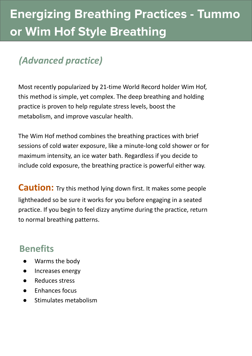### *(Advanced practice)*

Most recently popularized by 21-time World Record holder Wim Hof, this method is simple, yet complex. The deep breathing and holding practice is proven to help regulate stress levels, boost the metabolism, and improve vascular health.

The Wim Hof method combines the breathing practices with brief sessions of cold water exposure, like a minute-long cold shower or for maximum intensity, an ice water bath. Regardless if you decide to include cold exposure, the breathing practice is powerful either way.

**Caution:** Try this method lying down first. It makes some people lightheaded so be sure it works for you before engaging in a seated practice. If you begin to feel dizzy anytime during the practice, return to normal breathing patterns.

#### **Benefits**

- Warms the body
- Increases energy
- **Reduces stress**
- **Enhances focus**
- Stimulates metabolism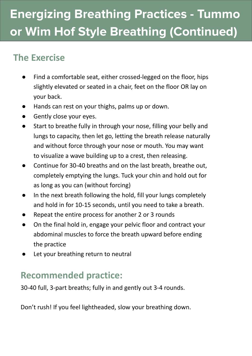# **Energizing Breathing Practices - Tummo or Wim Hof Style Breathing (Continued)**

### **The Exercise**

- Find a comfortable seat, either crossed-legged on the floor, hips slightly elevated or seated in a chair, feet on the floor OR lay on your back.
- Hands can rest on your thighs, palms up or down.
- Gently close your eyes.
- Start to breathe fully in through your nose, filling your belly and lungs to capacity, then let go, letting the breath release naturally and without force through your nose or mouth. You may want to visualize a wave building up to a crest, then releasing.
- Continue for 30-40 breaths and on the last breath, breathe out, completely emptying the lungs. Tuck your chin and hold out for as long as you can (without forcing)
- In the next breath following the hold, fill your lungs completely and hold in for 10-15 seconds, until you need to take a breath.
- Repeat the entire process for another 2 or 3 rounds
- On the final hold in, engage your pelvic floor and contract your abdominal muscles to force the breath upward before ending the practice
- Let your breathing return to neutral

### **Recommended practice:**

30-40 full, 3-part breaths; fully in and gently out 3-4 rounds.

Don't rush! If you feel lightheaded, slow your breathing down.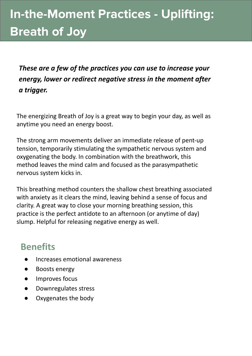# **In-the-Moment Practices - Uplifting: Breath of Joy**

*These are a few of the practices you can use to increase your energy, lower or redirect negative stress in the moment after a trigger.*

The energizing Breath of Joy is a great way to begin your day, as well as anytime you need an energy boost.

The strong arm movements deliver an immediate release of pent-up tension, temporarily stimulating the sympathetic nervous system and oxygenating the body. In combination with the breathwork, this method leaves the mind calm and focused as the parasympathetic nervous system kicks in.

This breathing method counters the shallow chest breathing associated with anxiety as it clears the mind, leaving behind a sense of focus and clarity. A great way to close your morning breathing session, this practice is the perfect antidote to an afternoon (or anytime of day) slump. Helpful for releasing negative energy as well.

#### **Benefits**

- Increases emotional awareness
- Boosts energy
- Improves focus
- Downregulates stress
- Oxygenates the body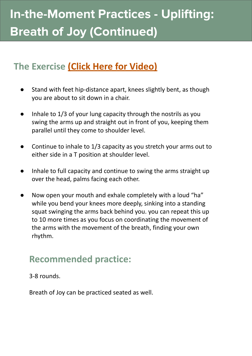# **In-the-Moment Practices - Uplifting: Breath of Joy (Continued)**

#### **The Exercise [\(Click Here for Video\)](http://elizabethborelli.com/breath-of-joy/)**

- Stand with feet hip-distance apart, knees slightly bent, as though you are about to sit down in a chair.
- Inhale to 1/3 of your lung capacity through the nostrils as you swing the arms up and straight out in front of you, keeping them parallel until they come to shoulder level.
- Continue to inhale to 1/3 capacity as you stretch your arms out to either side in a T position at shoulder level.
- Inhale to full capacity and continue to swing the arms straight up over the head, palms facing each other.
- Now open your mouth and exhale completely with a loud "ha" while you bend your knees more deeply, sinking into a standing squat swinging the arms back behind you. you can repeat this up to 10 more times as you focus on coordinating the movement of the arms with the movement of the breath, finding your own rhythm.

#### **Recommended practice:**

3-8 rounds.

Breath of Joy can be practiced seated as well.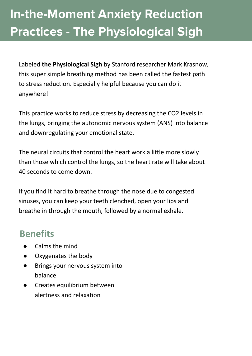# **In-the-Moment Anxiety Reduction Practices - The Physiological Sigh**

Labeled **the Physiological Sigh** by Stanford researcher Mark Krasnow, this super simple breathing method has been called the fastest path to stress reduction. Especially helpful because you can do it anywhere!

This practice works to reduce stress by decreasing the CO2 levels in the lungs, bringing the autonomic nervous system (ANS) into balance and downregulating your emotional state.

The neural circuits that control the heart work a little more slowly than those which control the lungs, so the heart rate will take about 40 seconds to come down.

If you find it hard to breathe through the nose due to congested sinuses, you can keep your teeth clenched, open your lips and breathe in through the mouth, followed by a normal exhale.

#### **Benefits**

- Calms the mind
- Oxygenates the body
- Brings your nervous system into balance
- Creates equilibrium between alertness and relaxation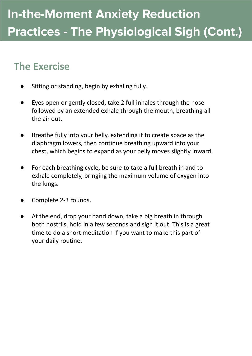- Sitting or standing, begin by exhaling fully.
- Eyes open or gently closed, take 2 full inhales through the nose followed by an extended exhale through the mouth, breathing all the air out.
- Breathe fully into your belly, extending it to create space as the diaphragm lowers, then continue breathing upward into your chest, which begins to expand as your belly moves slightly inward.
- For each breathing cycle, be sure to take a full breath in and to exhale completely, bringing the maximum volume of oxygen into the lungs.
- Complete 2-3 rounds.
- At the end, drop your hand down, take a big breath in through both nostrils, hold in a few seconds and sigh it out. This is a great time to do a short meditation if you want to make this part of your daily routine.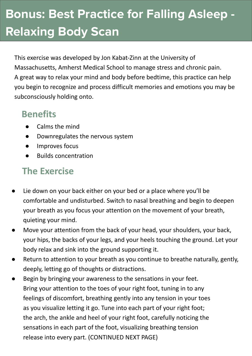# **Bonus: Best Practice for Falling Asleep - Relaxing Body Scan**

This exercise was developed by Jon Kabat-Zinn at the University of Massachusetts, Amherst Medical School to manage stress and chronic pain. A great way to relax your mind and body before bedtime, this practice can help you begin to recognize and process difficult memories and emotions you may be subconsciously holding onto.

#### **Benefits**

- Calms the mind
- Downregulates the nervous system
- Improves focus
- Builds concentration

- Lie down on your back either on your bed or a place where you'll be comfortable and undisturbed. Switch to nasal breathing and begin to deepen your breath as you focus your attention on the movement of your breath, quieting your mind.
- Move your attention from the back of your head, your shoulders, your back, your hips, the backs of your legs, and your heels touching the ground. Let your body relax and sink into the ground supporting it.
- Return to attention to your breath as you continue to breathe naturally, gently, deeply, letting go of thoughts or distractions.
- Begin by bringing your awareness to the sensations in your feet. Bring your attention to the toes of your right foot, tuning in to any feelings of discomfort, breathing gently into any tension in your toes as you visualize letting it go. Tune into each part of your right foot; the arch, the ankle and heel of your right foot, carefully noticing the sensations in each part of the foot, visualizing breathing tension release into every part. (CONTINUED NEXT PAGE)